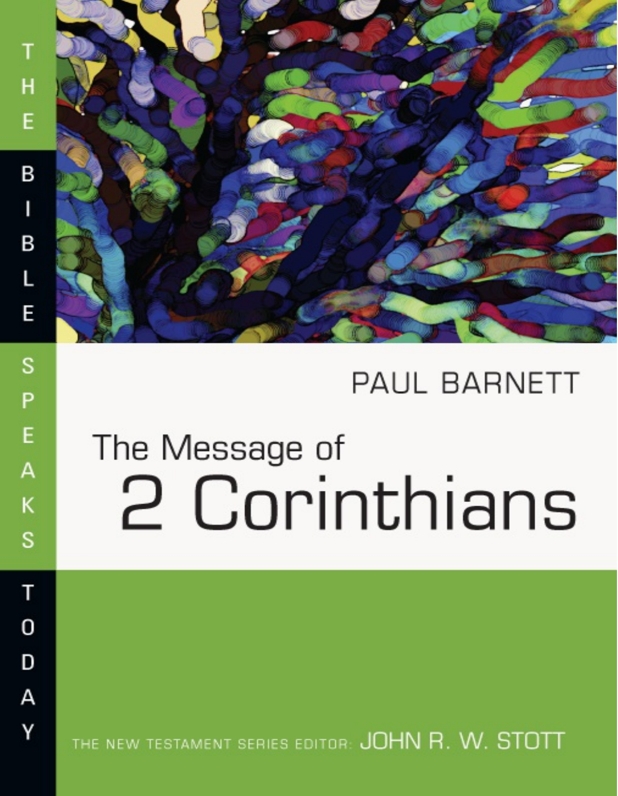

## PAUL BARNETT

# The Message of 2 Corinthians

THE NEW TESTAMENT SERIES EDITOR: JOHN R. W. STOTT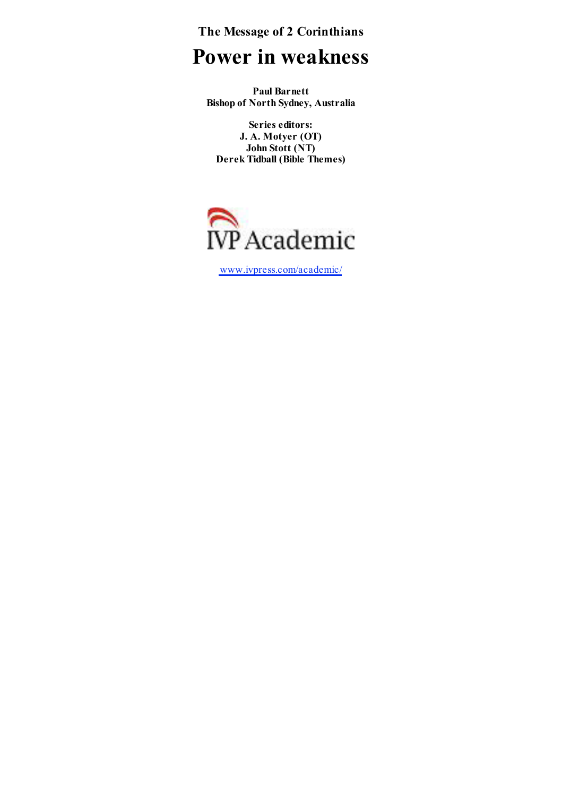**The Message of 2 Corinthians**

## **Power in weakness**

**Paul Barnett Bishop of North Sydney, Australia**

**Series editors: J. A. Motyer (OT) John Stott (NT) Derek Tidball (Bible Themes)**



www.ivpress.com/academic/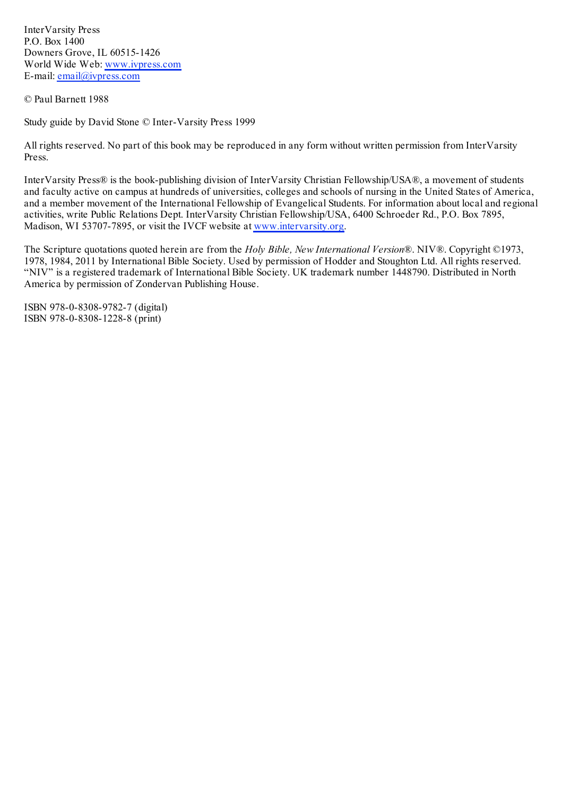InterVarsity Press P.O. Box 1400 Downers Grove, IL 60515-1426 World Wide Web: www.ivpress.com E-mail: email@ivpress.com

#### © Paul Barnett 1988

Study guide by David Stone © Inter-Varsity Press 1999

All rights reserved. No part of this book may be reproduced in any form without written permission from InterVarsity Press.

InterVarsity Press® is the book-publishing division of InterVarsity Christian Fellowship/USA®, a movement of students and faculty active on campus at hundreds of universities, colleges and schools of nursing in the United States of America, and a member movement of the International Fellowship of Evangelical Students. For information about local and regional activities, write Public Relations Dept. InterVarsity Christian Fellowship/USA, 6400 Schroeder Rd., P.O. Box 7895, Madison, WI 53707-7895, or visit the IVCF website at www.intervarsity.org.

The Scripture quotations quoted herein are from the *Holy Bible, New International Version*®. NIV®. Copyright ©1973, 1978, 1984, 2011 by International Bible Society. Used by permission of Hodder and Stoughton Ltd. All rights reserved. "NIV" is a registered trademark of International Bible Society. UK trademark number 1448790. Distributed in North America by permission of Zondervan Publishing House.

ISBN 978-0-8308-9782-7 (digital) ISBN 978-0-8308-1228-8 (print)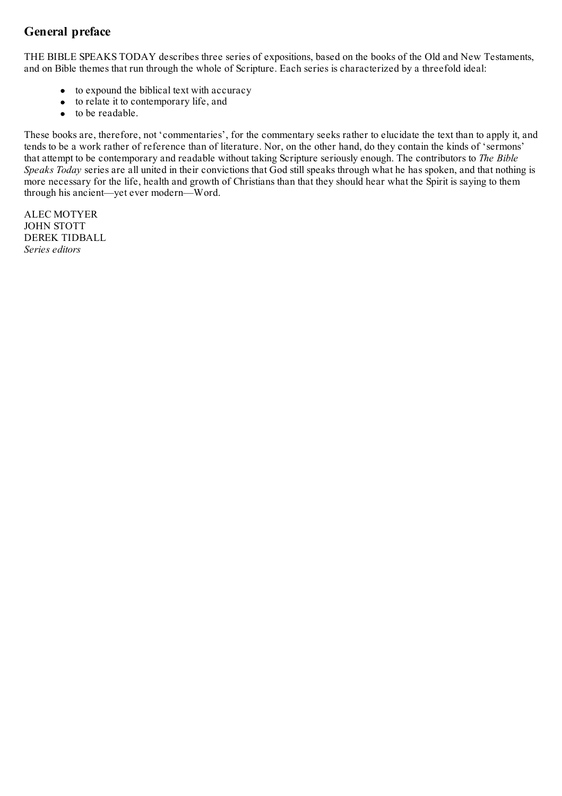## **General preface**

THE BIBLE SPEAKS TODAY describes three series of expositions, based on the books of the Old and New Testaments, and on Bible themes that run through the whole of Scripture. Each series is characterized by a threefold ideal:

- to expound the biblical text with accuracy
- to relate it to contemporary life, and
- $\bullet$  to be readable.

These books are, therefore, not 'commentaries', for the commentary seeks rather to elucidate the text than to apply it, and tends to be a work rather of reference than of literature. Nor, on the other hand, do they contain the kinds of 'sermons' that attempt to be contemporary and readable without taking Scripture seriously enough. The contributors to *The Bible Speaks Today* series are all united in their convictions that God still speaks through what he has spoken, and that nothing is more necessary for the life, health and growth of Christians than that they should hear what the Spirit is saying to them through his ancient—yet ever modern—Word.

ALEC MOTYER JOHN STOTT DEREK TIDBALL *Series editors*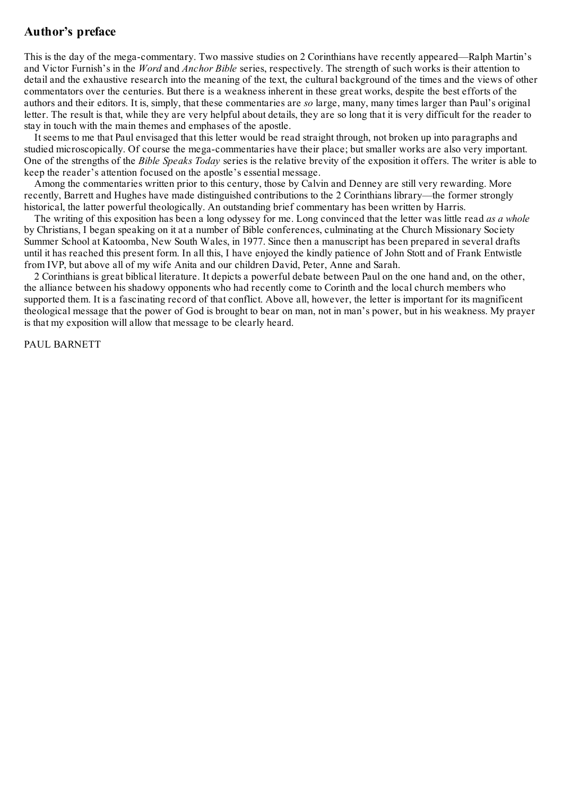## **Author's preface**

This is the day of the mega-commentary. Two massive studies on 2 Corinthians have recently appeared—Ralph Martin's and Victor Furnish's in the *Word* and *Anchor Bible* series, respectively. The strength of such works is their attention to detail and the exhaustive research into the meaning of the text, the cultural background of the times and the views of other commentators over the centuries. But there is a weakness inherent in these great works, despite the best efforts of the authors and their editors. It is, simply, that these commentaries are *so* large, many, many times larger than Paul's original letter. The result is that, while they are very helpful about details, they are so long that it is very difficult for the reader to stay in touch with the main themes and emphases of the apostle.

It seems to me that Paul envisaged that this letter would be read straight through, not broken up into paragraphs and studied microscopically. Of course the mega-commentaries have their place; but smaller works are also very important. One of the strengths of the *Bible Speaks Today* series is the relative brevity of the exposition it offers. The writer is able to keep the reader's attention focused on the apostle's essential message.

Among the commentaries written prior to this century, those by Calvin and Denney are still very rewarding. More recently, Barrett and Hughes have made distinguished contributions to the 2 Corinthians library—the former strongly historical, the latter powerful theologically. An outstanding brief commentary has been written by Harris.

The writing of this exposition has been a long odyssey for me. Long convinced that the letter was little read *as a whole* by Christians, I began speaking on it at a number of Bible conferences, culminating at the Church Missionary Society Summer School at Katoomba, New South Wales, in 1977. Since then a manuscript has been prepared in several drafts until it has reached this present form. In all this, I have enjoyed the kindly patience of John Stott and of Frank Entwistle from IVP, but above all of my wife Anita and our children David, Peter, Anne and Sarah.

2 Corinthians is great biblical literature. It depicts a powerful debate between Paul on the one hand and, on the other, the alliance between his shadowy opponents who had recently come to Corinth and the local church members who supported them. It is a fascinating record of that conflict. Above all, however, the letter is important for its magnificent theological message that the power of God is brought to bear on man, not in man's power, but in his weakness. My prayer is that my exposition will allow that message to be clearly heard.

PAUL BARNETT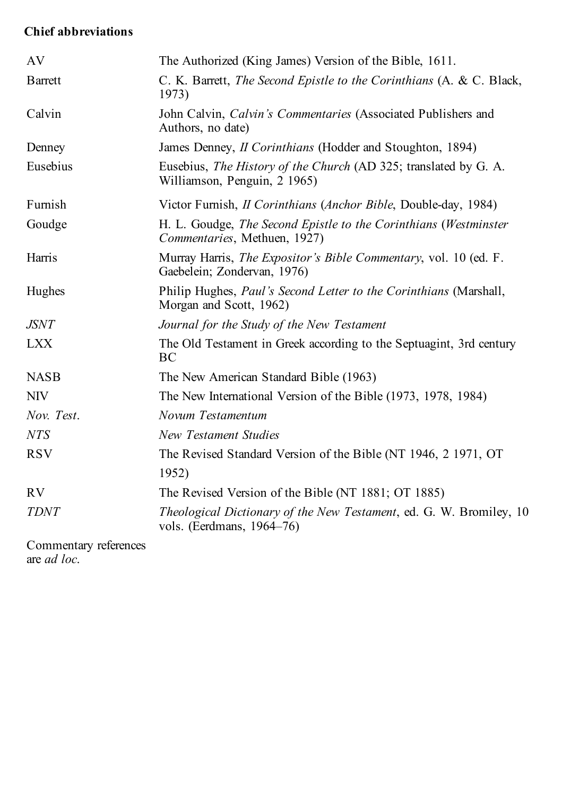## **Chief abbreviations**

| AV                    | The Authorized (King James) Version of the Bible, 1611.                                          |
|-----------------------|--------------------------------------------------------------------------------------------------|
| <b>B</b> arrett       | C. K. Barrett, The Second Epistle to the Corinthians (A. & C. Black,<br>1973)                    |
| Calvin                | John Calvin, <i>Calvin's Commentaries</i> (Associated Publishers and<br>Authors, no date)        |
| Denney                | James Denney, <i>II Corinthians</i> (Hodder and Stoughton, 1894)                                 |
| Eusebius              | Eusebius, The History of the Church (AD 325; translated by G. A.<br>Williamson, Penguin, 2 1965) |
| Furnish               | Victor Furnish, II Corinthians (Anchor Bible, Double-day, 1984)                                  |
| Goudge                | H. L. Goudge, The Second Epistle to the Corinthians (Westminster<br>Commentaries, Methuen, 1927) |
| Harris                | Murray Harris, The Expositor's Bible Commentary, vol. 10 (ed. F.<br>Gaebelein; Zondervan, 1976)  |
| Hughes                | Philip Hughes, Paul's Second Letter to the Corinthians (Marshall,<br>Morgan and Scott, 1962)     |
| <i>JSNT</i>           | Journal for the Study of the New Testament                                                       |
| <b>LXX</b>            | The Old Testament in Greek according to the Septuagint, 3rd century<br>BC                        |
| <b>NASB</b>           | The New American Standard Bible (1963)                                                           |
| <b>NIV</b>            | The New International Version of the Bible (1973, 1978, 1984)                                    |
| Nov. Test.            | Novum Testamentum                                                                                |
| <b>NTS</b>            | New Testament Studies                                                                            |
| <b>RSV</b>            | The Revised Standard Version of the Bible (NT 1946, 2 1971, OT                                   |
|                       | 1952)                                                                                            |
| R <sub>V</sub>        | The Revised Version of the Bible (NT 1881; OT 1885)                                              |
| <b>TDNT</b>           | Theological Dictionary of the New Testament, ed. G. W. Bromiley, 10<br>vols. (Eerdmans, 1964-76) |
| Commentary references |                                                                                                  |

are *ad loc*.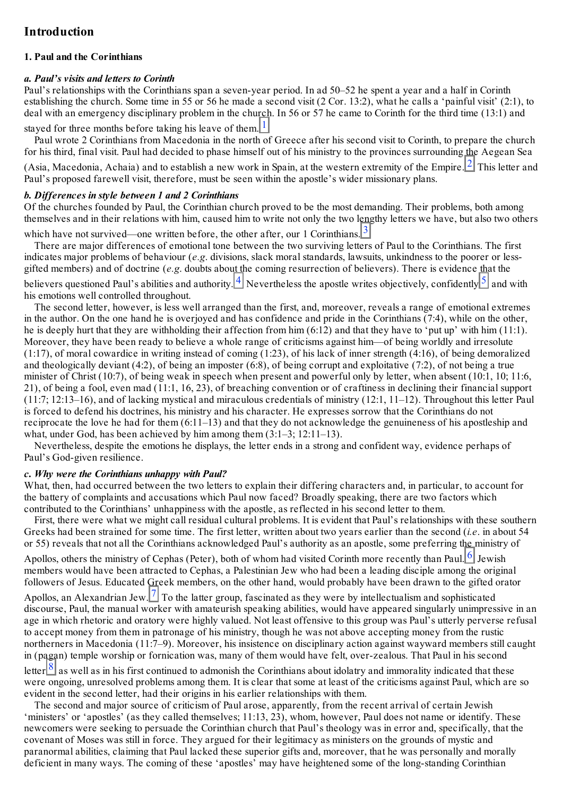### **Introduction**

#### **1. Paul and the Corinthians**

#### *a. Paul's visits and letters to Corinth*

Paul's relationships with the Corinthians span a seven-year period. In ad 50–52 he spent a year and a half in Corinth establishing the church. Some time in 55 or 56 he made a second visit (2 Cor. 13:2), what he calls a 'painful visit' (2:1), to deal with an emergency disciplinary problem in the church. In 56 or 57 he came to Corinth for the third time (13:1) and

stayed for three months before taking his leave of them.  $\frac{1}{2}$ 

Paul wrote 2 Corinthians from Macedonia in the north of Greece after his second visit to Corinth, to prepare the church for his third, final visit. Paul had decided to phase himself out of his ministry to the provinces surrounding the Aegean Sea

(Asia, Macedonia, Achaia) and to establish a new work in Spain, at the western extremity of the Empire.  $\angle$  This letter and Paul's proposed farewell visit, therefore, must be seen within the apostle's wider missionary plans.

#### *b. Differences in style between 1 and 2 Corinthians*

Of the churches founded by Paul, the Corinthian church proved to be the most demanding. Their problems, both among themselves and in their relations with him, caused him to write not only the two lengthy letters we have, but also two others

which have not survived—one written before, the other after, our 1 Corinthians.

There are major differences of emotional tone between the two surviving letters of Paul to the Corinthians. The first indicates major problems of behaviour (*e.g*. divisions, slack moral standards, lawsuits, unkindness to the poorer or lessgifted members) and of doctrine (*e.g*. doubts about the coming resurrection of believers). There is evidence that the

believers questioned Paul's abilities and authority.  $\frac{4}{3}$  Nevertheless the apostle writes objectively, confidently  $\frac{3}{2}$  and with his emotions well controlled throughout.

The second letter, however, is less well arranged than the first, and, moreover, reveals a range of emotional extremes in the author. On the one hand he is overjoyed and has confidence and pride in the Corinthians (7:4), while on the other, he is deeply hurt that they are withholding their affection from him  $(6.12)$  and that they have to 'put up' with him  $(11.1)$ . Moreover, they have been ready to believe a whole range of criticisms against him—of being worldly and irresolute (1:17), of moral cowardice in writing instead of coming (1:23), of his lack of inner strength (4:16), of being demoralized and theologically deviant  $(4:2)$ , of being an imposter  $(6:8)$ , of being corrupt and exploitative  $(7:2)$ , of not being a true minister of Christ (10.7), of being weak in speech when present and powerful only by letter, when absent (10:1, 10; 11:6, 21), of being a fool, even mad (11:1, 16, 23), of breaching convention or of craftiness in declining their financial support (11:7; 12:13–16), and of lacking mystical and miraculous credentials of ministry (12:1, 11–12). Throughout this letter Paul is forced to defend his doctrines, his ministry and his character. He expresses sorrow that the Corinthians do not reciprocate the love he had for them (6:11–13) and that they do not acknowledge the genuineness of his apostleship and what, under God, has been achieved by him among them (3:1–3; 12:11–13).

Nevertheless, despite the emotions he displays, the letter ends in a strong and confident way, evidence perhaps of Paul's God-given resilience.

#### *c. Why were the Corinthians unhappy with Paul?*

What, then, had occurred between the two letters to explain their differing characters and, in particular, to account for the battery of complaints and accusations which Paul now faced? Broadly speaking, there are two factors which contributed to the Corinthians' unhappiness with the apostle, as reflected in his second letter to them.

First, there were what we might call residual cultural problems. It is evident that Paul's relationships with these southern Greeks had been strained for some time. The first letter, written about two years earlier than the second (*i.e*. in about 54 or 55) reveals that not all the Corinthians acknowledged Paul's authority as an apostle, some preferring the ministry of

Apollos, others the ministry of Cephas (Peter), both of whom had visited Corinth more recently than Paul.  $\frac{6}{10}$  Jewish members would have been attracted to Cephas, a Palestinian Jew who had been a leading disciple among the original followers of Jesus. Educated Greek members, on the other hand, would probably have been drawn to the gifted orator Apollos, an Alexandrian Jew.  $\frac{7}{10}$  To the latter group, fascinated as they were by intellectualism and sophisticated

discourse, Paul, the manual worker with amateurish speaking abilities, would have appeared singularly unimpressive in an age in which rhetoric and oratory were highly valued. Not least offensive to this group was Paul's utterly perverse refusal to accept money from them in patronage of his ministry, though he was not above accepting money from the rustic northerners in Macedonia (11:7–9). Moreover, his insistence on disciplinary action against wayward members still caught in (pagan) temple worship or fornication was, many of them would have felt, over-zealous. That Paul in his second

letter  $8$  as well as in his first continued to admonish the Corinthians about idolatry and immorality indicated that these were ongoing, unresolved problems among them. It is clear that some at least of the criticisms against Paul, which are so evident in the second letter, had their origins in his earlier relationships with them.

The second and major source of criticism of Paul arose, apparently, from the recent arrival of certain Jewish 'ministers' or 'apostles' (as they called themselves; 11:13, 23), whom, however, Paul does not name or identify. These newcomers were seeking to persuade the Corinthian church that Paul's theology was in error and, specifically, that the covenant of Moses was still in force. They argued for their legitimacy as ministers on the grounds of mystic and paranormal abilities, claiming that Paul lacked these superior gifts and, moreover, that he was personally and morally deficient in many ways. The coming of these 'apostles' may have heightened some of the long-standing Corinthian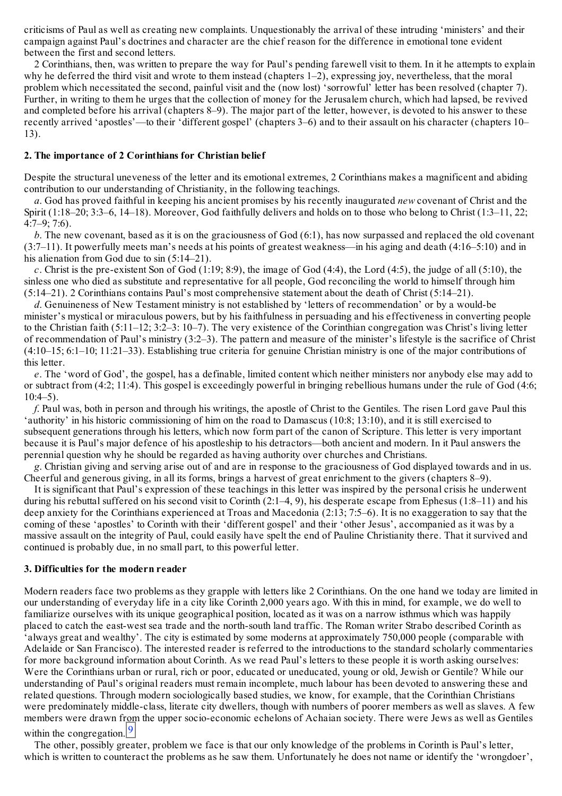criticisms of Paul as well as creating new complaints. Unquestionably the arrival of these intruding 'ministers' and their campaign against Paul's doctrines and character are the chief reason for the difference in emotional tone evident between the first and second letters.

2 Corinthians, then, was written to prepare the way for Paul's pending farewell visit to them. In it he attempts to explain why he deferred the third visit and wrote to them instead (chapters 1–2), expressing joy, nevertheless, that the moral problem which necessitated the second, painful visit and the (now lost) 'sorrowful' letter has been resolved (chapter 7). Further, in writing to them he urges that the collection of money for the Jerusalem church, which had lapsed, be revived and completed before his arrival (chapters 8–9). The major part of the letter, however, is devoted to his answer to these recently arrived 'apostles'—to their 'different gospel' (chapters 3–6) and to their assault on his character (chapters 10– 13).

#### **2. The importance of 2 Corinthians for Christian belief**

Despite the structural uneveness of the letter and its emotional extremes, 2 Corinthians makes a magnificent and abiding contribution to our understanding of Christianity, in the following teachings.

*a*. God has proved faithful in keeping his ancient promises by his recently inaugurated *new* covenant of Christ and the Spirit (1:18–20; 3:3–6, 14–18). Moreover, God faithfully delivers and holds on to those who belong to Christ (1:3–11, 22;  $4.7 - 9.76$ 

*b*. The new covenant, based as it is on the graciousness of God (6:1), has now surpassed and replaced the old covenant (3:7–11). It powerfully meets man's needs at his points of greatest weakness—in his aging and death (4:16–5:10) and in his alienation from God due to sin  $(5:14–21)$ .

*c*. Christ is the pre-existent Son of God  $(1:19; 8:9)$ , the image of God  $(4:4)$ , the Lord  $(4:5)$ , the judge of all  $(5:10)$ , the sinless one who died as substitute and representative for all people, God reconciling the world to himself through him (5:14–21). 2 Corinthians contains Paul's most comprehensive statement about the death of Christ (5:14–21).

*d*. Genuineness of New Testament ministry is not established by 'letters of recommendation' or by a would-be minister's mystical or miraculous powers, but by his faithfulness in persuading and his effectiveness in converting people to the Christian faith (5:11–12; 3:2–3: 10–7). The very existence of the Corinthian congregation was Christ's living letter of recommendation of Paul's ministry (3:2–3). The pattern and measure of the minister's lifestyle is the sacrifice of Christ (4:10–15; 6:1–10; 11:21–33). Establishing true criteria for genuine Christian ministry is one of the major contributions of this letter.

*e*. The 'word of God', the gospel, has a definable, limited content which neither ministers nor anybody else may add to or subtract from (4:2; 11:4). This gospel is exceedingly powerful in bringing rebellious humans under the rule of God (4:6;  $10:4-5$ ).

*f*. Paul was, both in person and through his writings, the apostle of Christ to the Gentiles. The risen Lord gave Paul this 'authority' in his historic commissioning of him on the road to Damascus (10:8; 13:10), and it is still exercised to subsequent generations through his letters, which now form part of the canon of Scripture. This letter is very important because it is Paul's major defence of his apostleship to his detractors—both ancient and modern. In it Paul answers the perennial question why he should be regarded as having authority over churches and Christians.

*g*. Christian giving and serving arise out of and are in response to the graciousness of God displayed towards and in us. Cheerful and generous giving, in all its forms, brings a harvest of great enrichment to the givers (chapters 8–9).

It is significant that Paul's expression of these teachings in this letter was inspired by the personal crisis he underwent during his rebuttal suffered on his second visit to Corinth  $(2:1-4, 9)$ , his desperate escape from Ephesus  $(1:8-11)$  and his deep anxiety for the Corinthians experienced at Troas and Macedonia (2:13; 7:5–6). It is no exaggeration to say that the coming of these 'apostles' to Corinth with their 'different gospel' and their 'other Jesus', accompanied as it was by a massive assault on the integrity of Paul, could easily have spelt the end of Pauline Christianity there. That it survived and continued is probably due, in no small part, to this powerful letter.

#### **3. Difficulties for the modern reader**

Modern readers face two problems as they grapple with letters like 2 Corinthians. On the one hand we today are limited in our understanding of everyday life in a city like Corinth 2,000 years ago. With this in mind, for example, we do well to familiarize ourselves with its unique geographical position, located as it was on a narrow isthmus which was happily placed to catch the east-west sea trade and the north-south land traffic. The Roman writer Strabo described Corinth as 'always great and wealthy'. The city is estimated by some moderns at approximately 750,000 people (comparable with Adelaide or San Francisco). The interested reader is referred to the introductions to the standard scholarly commentaries for more background information about Corinth. As we read Paul's letters to these people it is worth asking ourselves: Were the Corinthians urban or rural, rich or poor, educated or uneducated, young or old, Jewish or Gentile? While our understanding of Paul's original readers must remain incomplete, much labour has been devoted to answering these and related questions. Through modern sociologically based studies, we know, for example, that the Corinthian Christians were predominately middle-class, literate city dwellers, though with numbers of poorer members as well as slaves. A few members were drawn from the upper socio-economic echelons of Achaian society. There were Jews as well as Gentiles within the congregation. $\boxed{9}$ 

The other, possibly greater, problem we face is that our only knowledge of the problems in Corinth is Paul's letter, which is written to counteract the problems as he saw them. Unfortunately he does not name or identify the 'wrongdoer',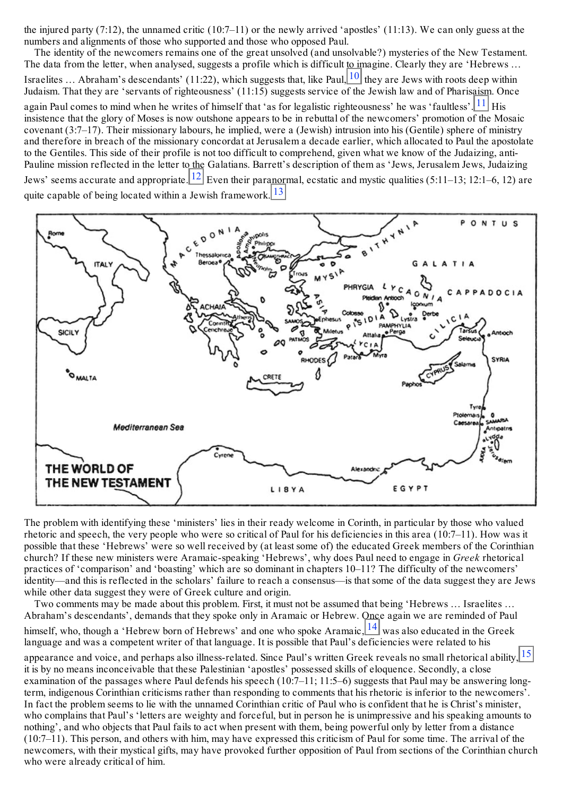the injured party (7:12), the unnamed critic  $(10:7–11)$  or the newly arrived 'apostles'  $(11:13)$ . We can only guess at the numbers and alignments of those who supported and those who opposed Paul.

The identity of the newcomers remains one of the great unsolved (and unsolvable?) mysteries of the New Testament. The data from the letter, when analysed, suggests a profile which is difficult to imagine. Clearly they are 'Hebrews ... Israelites ... Abraham's descendants' (11:22), which suggests that, like Paul,  $\frac{10}{10}$  they are Jews with roots deep within Judaism. That they are 'servants of righteousness' (11:15) suggests service of the Jewish law and of Pharisaism. Once again Paul comes to mind when he writes of himself that 'as for legalistic righteousness' he was 'faultless'.  $[11]$  His insistence that the glory of Moses is now outshone appears to be in rebuttal of the newcomers' promotion of the Mosaic covenant (3:7–17). Their missionary labours, he implied, were a (Jewish) intrusion into his (Gentile) sphere of ministry and therefore in breach of the missionary concordat at Jerusalem a decade earlier, which allocated to Paul the apostolate to the Gentiles. This side of their profile is not too difficult to comprehend, given what we know of the Judaizing, anti-Pauline mission reflected in the letter to the Galatians. Barrett's description of them as 'Jews, Jerusalem Jews, Judaizing Jews' seems accurate and appropriate.  $\frac{12}{2}$  Even their paranormal, ecstatic and mystic qualities (5:11–13; 12:1–6, 12) are quite capable of being located within a Jewish framework.  $|13|$ 



The problem with identifying these 'ministers' lies in their ready welcome in Corinth, in particular by those who valued rhetoric and speech, the very people who were so critical of Paul for his deficiencies in this area (10:7–11). How was it possible that these 'Hebrews' were so well received by (at least some of) the educated Greek members of the Corinthian church? If these new ministers were Aramaic-speaking 'Hebrews', why does Paul need to engage in *Greek* rhetorical practices of 'comparison' and 'boasting' which are so dominant in chapters 10–11? The difficulty of the newcomers' identity—and this is reflected in the scholars' failure to reach a consensus—is that some of the data suggest they are Jews while other data suggest they were of Greek culture and origin.

Two comments may be made about this problem. First, it must not be assumed that being 'Hebrews … Israelites … Abraham's descendants', demands that they spoke only in Aramaic or Hebrew. Once again we are reminded of Paul himself, who, though a 'Hebrew born of Hebrews' and one who spoke Aramaic, 14 was also educated in the Greek language and was a competent writer of that language. It is possible that Paul's deficiencies were related to his

appearance and voice, and perhaps also illness-related. Since Paul's written Greek reveals no small rhetorical ability.  $15$ it is by no means inconceivable that these Palestinian 'apostles' possessed skills of eloquence. Secondly, a close examination of the passages where Paul defends his speech (10:7–11; 11:5–6) suggests that Paul may be answering longterm, indigenous Corinthian criticisms rather than responding to comments that his rhetoric is inferior to the newcomers'. In fact the problem seems to lie with the unnamed Corinthian critic of Paul who is confident that he is Christ's minister, who complains that Paul's 'letters are weighty and forceful, but in person he is unimpressive and his speaking amounts to nothing', and who objects that Paul fails to act when present with them, being powerful only by letter from a distance (10:7–11). This person, and others with him, may have expressed this criticism of Paul for some time. The arrival of the newcomers, with their mystical gifts, may have provoked further opposition of Paul from sections of the Corinthian church who were already critical of him.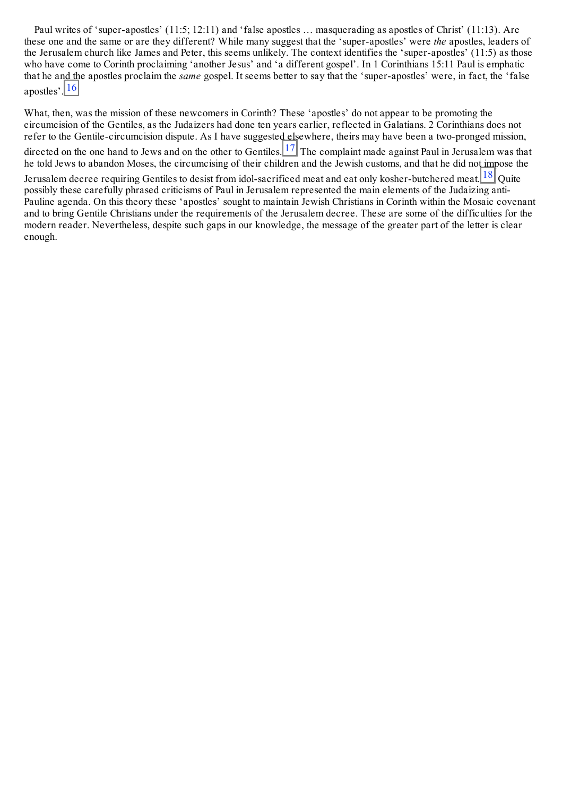Paul writes of 'super-apostles' (11:5; 12:11) and 'false apostles … masquerading as apostles of Christ' (11:13). Are these one and the same or are they different? While many suggest that the 'super-apostles' were *the* apostles, leaders of the Jerusalem church like James and Peter, this seems unlikely. The context identifies the 'super-apostles' (11:5) as those who have come to Corinth proclaiming 'another Jesus' and 'a different gospel'. In 1 Corinthians 15:11 Paul is emphatic that he and the apostles proclaim the *same* gospel. It seems better to say that the 'super-apostles' were, in fact, the 'false apostles'.  $|16|$ 

What, then, was the mission of these newcomers in Corinth? These 'apostles' do not appear to be promoting the circumcision of the Gentiles, as the Judaizers had done ten years earlier, reflected in Galatians. 2 Corinthians does not refer to the Gentile-circumcision dispute. As I have suggested elsewhere, theirs may have been a two-pronged mission,

directed on the one hand to Jews and on the other to Gentiles.  $17$  The complaint made against Paul in Jerusalem was that he told Jews to abandon Moses, the circumcising of their children and the Jewish customs, and that he did not impose the

Jerusalem decree requiring Gentiles to desist from idol-sacrificed meat and eat only kosher-butchered meat.<sup>[18]</sup> Ouite possibly these carefully phrased criticisms of Paul in Jerusalem represented the main elements of the Judaizing anti-Pauline agenda. On this theory these 'apostles' sought to maintain Jewish Christians in Corinth within the Mosaic covenant and to bring Gentile Christians under the requirements of the Jerusalem decree. These are some of the difficulties for the modern reader. Nevertheless, despite such gaps in our knowledge, the message of the greater part of the letter is clear enough.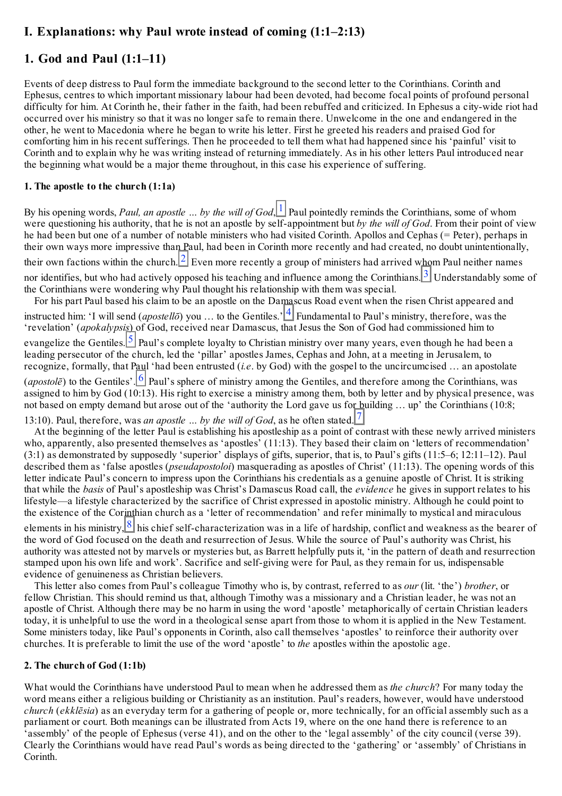## **I. Explanations: why Paul wrote instead of coming (1:1–2:13)**

## **1. God and Paul (1:1–11)**

Events of deep distress to Paul form the immediate background to the second letter to the Corinthians. Corinth and Ephesus, centres to which important missionary labour had been devoted, had become focal points of profound personal difficulty for him. At Corinth he, their father in the faith, had been rebuffed and criticized. In Ephesus a city-wide riot had occurred over his ministry so that it was no longer safe to remain there. Unwelcome in the one and endangered in the other, he went to Macedonia where he began to write his letter. First he greeted his readers and praised God for comforting him in his recent sufferings. Then he proceeded to tell them what had happened since his 'painful' visit to Corinth and to explain why he was writing instead of returning immediately. As in his other letters Paul introduced near the beginning what would be a major theme throughout, in this case his experience of suffering.

#### **1. The apostle to the church (1:1a)**

By his opening words, *Paul, an apostle ... by the will of God*, <sup>1</sup> Paul pointedly reminds the Corinthians, some of whom were questioning his authority, that he is not an apostle by self-appointment but *by the will of God*. From their point of view he had been but one of a number of notable ministers who had visited Corinth. Apollos and Cephas (= Peter), perhaps in their own ways more impressive than Paul, had been in Corinth more recently and had created, no doubt unintentionally, their own factions within the church. $\boxed{2}$  Even more recently a group of ministers had arrived whom Paul neither names nor identifies, but who had actively opposed his teaching and influence among the Corinthians.<sup>[3]</sup> Understandably some of the Corinthians were wondering why Paul thought his relationship with them was special. For his part Paul based his claim to be an apostle on the Damascus Road event when the risen Christ appeared and

instructed him: 'I will send (*apostello*) you ... to the Gentiles.'<sup>[4]</sup> Fundamental to Paul's ministry, therefore, was the 'revelation' (*apokalypsis*) of God, received near Damascus, that Jesus the Son of God had commissioned him to evangelize the Gentiles.  $\geq$  Paul's complete loyalty to Christian ministry over many years, even though he had been a leading persecutor of the church, led the 'pillar' apostles James, Cephas and John, at a meeting in Jerusalem, to recognize, formally, that Paul 'had been entrusted (*i.e*. by God) with the gospel to the uncircumcised … an apostolate (*apostol* $\vec{e}$ ) to the Gentiles'.  $\frac{6}{2}$  Paul's sphere of ministry among the Gentiles, and therefore among the Corinthians, was assigned to him by God (10:13). His right to exercise a ministry among them, both by letter and by physical presence, was not based on empty demand but arose out of the 'authority the Lord gave us for building … up' the Corinthians (10:8;

13:10). Paul, therefore, was *an apostle ... by the will of God*, as he often stated.<sup>7</sup>

At the beginning of the letter Paul is establishing his apostleship as a point of contrast with these newly arrived ministers who, apparently, also presented themselves as 'apostles' (11:13). They based their claim on 'letters of recommendation' (3:1) as demonstrated by supposedly 'superior' displays of gifts, superior, that is, to Paul's gifts (11:5–6; 12:11–12). Paul described them as 'false apostles (*pseudapostoloi*) masquerading as apostles of Christ' (11:13). The opening words of this letter indicate Paul's concern to impress upon the Corinthians his credentials as a genuine apostle of Christ. It is striking that while the *basis* of Paul's apostleship was Christ's Damascus Road call, the *evidence* he gives in support relates to his lifestyle—a lifestyle characterized by the sacrifice of Christ expressed in apostolic ministry. Although he could point to the existence of the Corinthian church as a 'letter of recommendation' and refer minimally to mystical and miraculous

elements in his ministry,  $8$  his chief self-characterization was in a life of hardship, conflict and weakness as the bearer of the word of God focused on the death and resurrection of Jesus. While the source of Paul's authority was Christ, his authority was attested not by marvels or mysteries but, as Barrett helpfully puts it, 'in the pattern of death and resurrection stamped upon his own life and work'. Sacrifice and self-giving were for Paul, as they remain for us, indispensable evidence of genuineness as Christian believers.

This letter also comes from Paul's colleague Timothy who is, by contrast, referred to as *our* (lit. 'the') *brother*, or fellow Christian. This should remind us that, although Timothy was a missionary and a Christian leader, he was not an apostle of Christ. Although there may be no harm in using the word 'apostle' metaphorically of certain Christian leaders today, it is unhelpful to use the word in a theological sense apart from those to whom it is applied in the New Testament. Some ministers today, like Paul's opponents in Corinth, also call themselves 'apostles' to reinforce their authority over churches. It is preferable to limit the use of the word 'apostle' to *the* apostles within the apostolic age.

#### **2. The church of God (1:1b)**

What would the Corinthians have understood Paul to mean when he addressed them as *the church*? For many today the word means either a religious building or Christianity as an institution. Paul's readers, however, would have understood *church* (*ekklēsia*) as an everyday term for a gathering of people or, more technically, for an official assembly such as a parliament or court. Both meanings can be illustrated from Acts 19, where on the one hand there is reference to an assembly' of the people of Ephesus (verse 41), and on the other to the 'legal assembly' of the city council (verse 39). Clearly the Corinthians would have read Paul's words as being directed to the 'gathering' or 'assembly' of Christians in Corinth.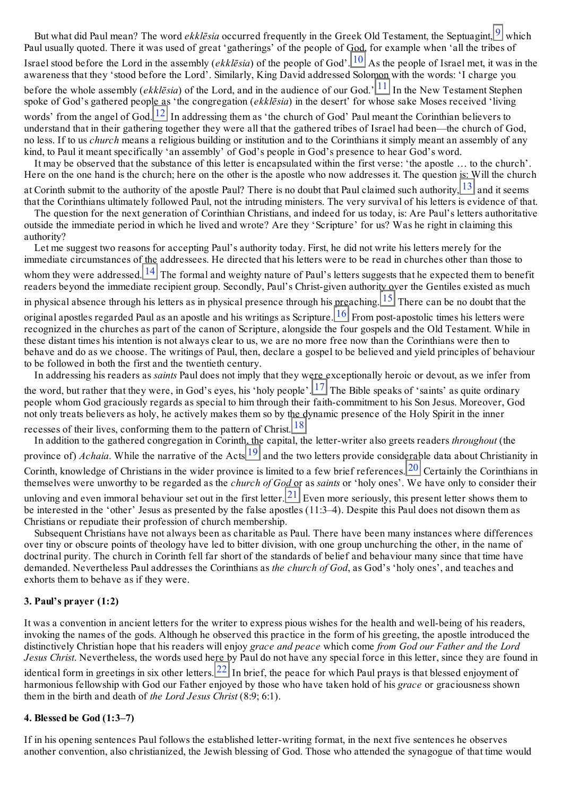But what did Paul mean? The word *ekklēsia* occurred frequently in the Greek Old Testament, the Septuagint, Paul usually quoted. There it was used of great 'gatherings' of the people of God, for example when 'all the tribes of Israel stood before the Lord in the assembly (*ekklēsia*) of the people of God'. 10 As the people of Israel met, it was in the awareness that they 'stood before the Lord'. Similarly, King David addressed Solomon with the words: 'I charge you before the whole assembly (*ekklēsia*) of the Lord, and in the audience of our God.' 11 In the New Testament Stephen spoke of God's gathered people as 'the congregation (*ekklēsia*) in the desert' for whose sake Moses received 'living words' from the angel of God.  $\frac{12}{12}$  In addressing them as 'the church of God' Paul meant the Corinthian believers to understand that in their gathering together they were all that the gathered tribes of Israel had been—the church of God, no less. If to us *church* means a religious building or institution and to the Corinthians it simply meant an assembly of any kind, to Paul it meant specifically 'an assembly' of God's people in God's presence to hear God's word.

It may be observed that the substance of this letter is encapsulated within the first verse: 'the apostle … to the church'. Here on the one hand is the church; here on the other is the apostle who now addresses it. The question is: Will the church at Corinth submit to the authority of the apostle Paul? There is no doubt that Paul claimed such authority, $\lfloor \frac{13}{3} \rfloor$  and it seems that the Corinthians ultimately followed Paul, not the intruding ministers. The very survival of his letters is evidence of that.

The question for the next generation of Corinthian Christians, and indeed for us today, is: Are Paul's letters authoritative outside the immediate period in which he lived and wrote? Are they 'Scripture' for us? Was he right in claiming this authority?

Let me suggest two reasons for accepting Paul's authority today. First, he did not write his letters merely for the immediate circumstances of the addressees. He directed that his letters were to be read in churches other than those to whom they were addressed.  $\lfloor 14 \rfloor$  The formal and weighty nature of Paul's letters suggests that he expected them to benefit readers beyond the immediate recipient group. Secondly, Paul's Christ-given authority over the Gentiles existed as much in physical absence through his letters as in physical presence through his **preaching.**  $\frac{15}{5}$  There can be no doubt that the original apostles regarded Paul as an apostle and his writings as Scripture.  $\frac{16}{16}$  From post-apostolic times his letters were recognized in the churches as part of the canon of Scripture, alongside the four gospels and the Old Testament. While in these distant times his intention is not always clear to us, we are no more free now than the Corinthians were then to behave and do as we choose. The writings of Paul, then, declare a gospel to be believed and yield principles of behaviour to be followed in both the first and the twentieth century.

In addressing his readers as *saints* Paul does not imply that they were exceptionally heroic or devout, as we infer from the word, but rather that they were, in God's eyes, his 'holy people'.  $\frac{17}{17}$  The Bible speaks of 'saints' as quite ordinary people whom God graciously regards as special to him through their faith-commitment to his Son Jesus. Moreover, God not only treats believers as holy, he actively makes them so by the dynamic presence of the Holy Spirit in the inner

recesses of their lives, conforming them to the pattern of Christ.  $|18|$ 

In addition to the gathered congregation in Corinth, the capital, the letter-writer also greets readers *throughout* (the province of) *Achaia*. While the narrative of the Acts <sup>19</sup> and the two letters provide considerable data about Christianity in

Corinth, knowledge of Christians in the wider province is limited to a few brief references.<sup>[20]</sup> Certainly the Corinthians in themselves were unworthy to be regarded as the *church of God* or as *saints* or 'holy ones'. We have only to consider their

unloving and even immoral behaviour set out in the first letter.  $[21]$  Even more seriously, this present letter shows them to be interested in the 'other' Jesus as presented by the false apostles (11:3–4). Despite this Paul does not disown them as Christians or repudiate their profession of church membership.

Subsequent Christians have not always been as charitable as Paul. There have been many instances where differences over tiny or obscure points of theology have led to bitter division, with one group unchurching the other, in the name of doctrinal purity. The church in Corinth fell far short of the standards of belief and behaviour many since that time have demanded. Nevertheless Paul addresses the Corinthians as *the church of God*, as God's 'holy ones', and teaches and exhorts them to behave as if they were.

#### **3. Paul's prayer (1:2)**

It was a convention in ancient letters for the writer to express pious wishes for the health and well-being of his readers, invoking the names of the gods. Although he observed this practice in the form of his greeting, the apostle introduced the distinctively Christian hope that his readers will enjoy *grace and peace* which come *from God our Father and the Lord Jesus Christ*. Nevertheless, the words used here by Paul do not have any special force in this letter, since they are found in identical form in greetings in six other letters.  $\frac{22}{2}$  In brief, the peace for which Paul prays is that blessed enjoyment of

harmonious fellowship with God our Father enjoyed by those who have taken hold of his *grace* or graciousness shown them in the birth and death of *the Lord Jesus Christ* (8:9; 6:1).

#### **4. Blessed be God (1:3–7)**

If in his opening sentences Paul follows the established letter-writing format, in the next five sentences he observes another convention, also christianized, the Jewish blessing of God. Those who attended the synagogue of that time would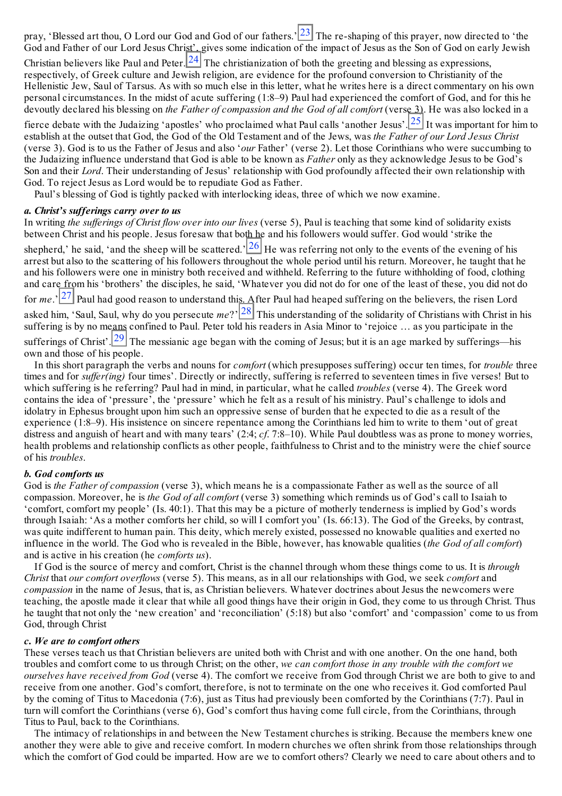pray, 'Blessed art thou, O Lord our God and God of our fathers.'  $|2^3|$  The re-shaping of this prayer, now directed to 'the God and Father of our Lord Jesus Christ', gives some indication of the impact of Jesus as the Son of God on early Jewish

Christian believers like Paul and Peter.  $\frac{24}{1}$  The christianization of both the greeting and blessing as expressions, respectively, of Greek culture and Jewish religion, are evidence for the profound conversion to Christianity of the Hellenistic Jew, Saul of Tarsus. As with so much else in this letter, what he writes here is a direct commentary on his own personal circumstances. In the midst of acute suffering (1:8–9) Paul had experienced the comfort of God, and for this he devoutly declared his blessing on *the Father of compassion and the God of all comfort* (verse 3). He was also locked in a

fierce debate with the Judaizing 'apostles' who proclaimed what Paul calls 'another Jesus'.  $\frac{25}{15}$  It was important for him to establish at the outset that God, the God of the Old Testament and of the Jews, was *the Father of our Lord Jesus Christ* (verse 3). God is to us the Father of Jesus and also '*our* Father' (verse 2). Let those Corinthians who were succumbing to the Judaizing influence understand that God is able to be known as *Father* only as they acknowledge Jesus to be God's Son and their *Lord*. Their understanding of Jesus' relationship with God profoundly affected their own relationship with God. To reject Jesus as Lord would be to repudiate God as Father.

Paul's blessing of God is tightly packed with interlocking ideas, three of which we now examine.

#### *a. Christ's sufferings carry over to us*

In writing *the sufferings of Christ flow over into our lives* (verse 5), Paul is teaching that some kind of solidarity exists between Christ and his people. Jesus foresaw that both he and his followers would suffer. God would 'strike the

shepherd,' he said, 'and the sheep will be scattered.'  $|^{26}$  He was referring not only to the events of the evening of his arrest but also to the scattering of his followers throughout the whole period until his return. Moreover, he taught that he and his followers were one in ministry both received and withheld. Referring to the future withholding of food, clothing and care from his 'brothers' the disciples, he said, 'Whatever you did not do for one of the least of these, you did not do for *me*.'<sup>[27]</sup> Paul had good reason to understand this After Paul had heaped suffering on the believers, the risen Lord asked him, 'Saul, Saul, why do you persecute  $me$ ?'<sup>28</sup> This understanding of the solidarity of Christians with Christ in his suffering is by no means confined to Paul. Peter told his readers in Asia Minor to 'rejoice … as you participate in the sufferings of Christ'.  $\frac{29}{2}$  The messianic age began with the coming of Jesus; but it is an age marked by sufferings—his own and those of his people.

In this short paragraph the verbs and nouns for *comfort* (which presupposes suffering) occur ten times, for *trouble* three times and for *suffer(ing)* four times'. Directly or indirectly, suffering is referred to seventeen times in five verses! But to which suffering is he referring? Paul had in mind, in particular, what he called *troubles* (verse 4). The Greek word contains the idea of 'pressure', the 'pressure' which he felt as a result of his ministry. Paul's challenge to idols and idolatry in Ephesus brought upon him such an oppressive sense of burden that he expected to die as a result of the experience (1:8–9). His insistence on sincere repentance among the Corinthians led him to write to them 'out of great distress and anguish of heart and with many tears' (2:4; *cf*. 7:8–10). While Paul doubtless was as prone to money worries, health problems and relationship conflicts as other people, faithfulness to Christ and to the ministry were the chief source of his *troubles*.

#### *b. God comforts us*

God is *the Father of compassion* (verse 3), which means he is a compassionate Father as well as the source of all compassion. Moreover, he is *the God of all comfort* (verse 3) something which reminds us of God's call to Isaiah to 'comfort, comfort my people' (Is. 40:1). That this may be a picture of motherly tenderness is implied by God's words through Isaiah: 'As a mother comforts her child, so will I comfort you' (Is. 66:13). The God of the Greeks, by contrast, was quite indifferent to human pain. This deity, which merely existed, possessed no knowable qualities and exerted no influence in the world. The God who is revealed in the Bible, however, has knowable qualities (*the God of all comfort*) and is active in his creation (he *comforts us*).

If God is the source of mercy and comfort, Christ is the channel through whom these things come to us. It is *through Christ* that *our comfort overflows* (verse 5). This means, as in all our relationships with God, we seek *comfort* and *compassion* in the name of Jesus, that is, as Christian believers. Whatever doctrines about Jesus the newcomers were teaching, the apostle made it clear that while all good things have their origin in God, they come to us through Christ. Thus he taught that not only the 'new creation' and 'reconciliation' (5:18) but also 'comfort' and 'compassion' come to us from God, through Christ

#### *c. We are to comfort others*

These verses teach us that Christian believers are united both with Christ and with one another. On the one hand, both troubles and comfort come to us through Christ; on the other, *we can comfort those in any trouble with the comfort we ourselves have received from God* (verse 4). The comfort we receive from God through Christ we are both to give to and receive from one another. God's comfort, therefore, is not to terminate on the one who receives it. God comforted Paul by the coming of Titus to Macedonia (7:6), just as Titus had previously been comforted by the Corinthians (7:7). Paul in turn will comfort the Corinthians (verse 6), God's comfort thus having come full circle, from the Corinthians, through Titus to Paul, back to the Corinthians.

The intimacy of relationships in and between the New Testament churches is striking. Because the members knew one another they were able to give and receive comfort. In modern churches we often shrink from those relationships through which the comfort of God could be imparted. How are we to comfort others? Clearly we need to care about others and to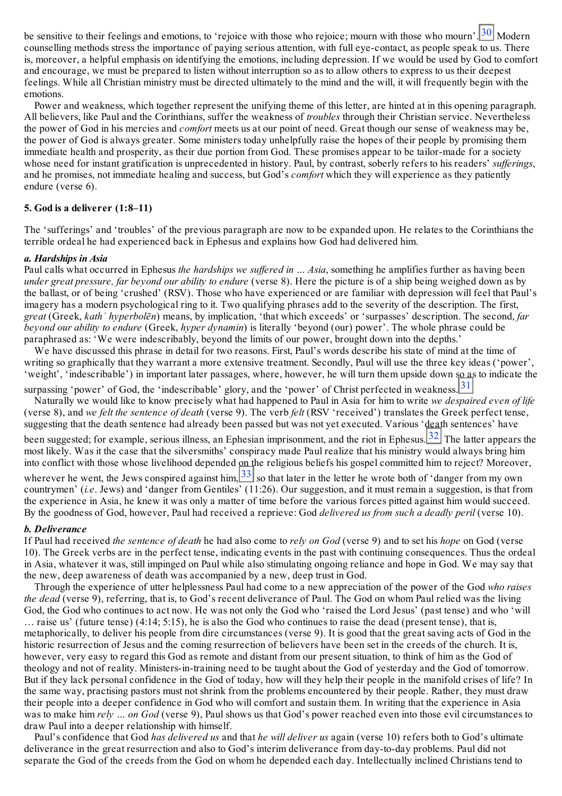be sensitive to their feelings and emotions, to 'rejoice with those who rejoice; mourn with those who mourn'.  $\frac{30}{100}$  Modern counselling methods stress the importance of paying serious attention, with full eye-contact, as people speak to us. There is, moreover, a helpful emphasis on identifying the emotions, including depression. If we would be used by God to comfort and encourage, we must be prepared to listen without interruption so as to allow others to express to us their deepest feelings. While all Christian ministry must be directed ultimately to the mind and the will, it will frequently begin with the emotions.

Power and weakness, which together represent the unifying theme of this letter, are hinted at in this opening paragraph. All believers, like Paul and the Corinthians, suffer the weakness of *troubles* through their Christian service. Nevertheless the power of God in his mercies and *comfort* meets us at our point of need. Great though our sense of weakness may be, the power of God is always greater. Some ministers today unhelpfully raise the hopes of their people by promising them immediate health and prosperity, as their due portion from God. These promises appear to be tailor-made for a society whose need for instant gratification is unprecedented in history. Paul, by contrast, soberly refers to his readers' *sufferings*, and he promises, not immediate healing and success, but God's *comfort* which they will experience as they patiently endure (verse 6).

#### **5. God is a deliverer (1:8–11)**

The 'sufferings' and 'troubles' of the previous paragraph are now to be expanded upon. He relates to the Corinthians the terrible ordeal he had experienced back in Ephesus and explains how God had delivered him.

#### *a. Hardships in Asia*

Paul calls what occurred in Ephesus *the hardships we suffered in … Asia*, something he amplifies further as having been *under great pressure, far beyond our ability to endure* (verse 8). Here the picture is of a ship being weighed down as by the ballast, or of being 'crushed' (RSV). Those who have experienced or are familiar with depression will feel that Paul's imagery has a modern psychological ring to it. Two qualifying phrases add to the severity of the description. The first, *great* (Greek, *kathʿ hyperbolēn*) means, by implication, 'that which exceeds' or 'surpasses' description. The second, *far beyond our ability to endure* (Greek, *hyper dynamin*) is literally 'beyond (our) power'. The whole phrase could be paraphrased as: 'We were indescribably, beyond the limits of our power, brought down into the depths.'

We have discussed this phrase in detail for two reasons. First, Paul's words describe his state of mind at the time of writing so graphically that they warrant a more extensive treatment. Secondly, Paul will use the three key ideas ('power', 'weight', 'indescribable') in important later passages, where, however, he will turn them upside down so as to indicate the

surpassing 'power' of God, the 'indescribable' glory, and the 'power' of Christ perfected in weakness.

Naturally we would like to know precisely what had happened to Paul in Asia for him to write *we despaired even of life* (verse 8), and *we felt the sentence of death* (verse 9). The verb *felt* (RSV 'received') translates the Greek perfect tense, suggesting that the death sentence had already been passed but was not yet executed. Various 'death sentences' have

been suggested; for example, serious illness, an Ephesian imprisonment, and the riot in Ephesus.  $32$  The latter appears the most likely. Was it the case that the silversmiths' conspiracy made Paul realize that his ministry would always bring him into conflict with those whose livelihood depended on the religious beliefs his gospel committed him to reject? Moreover, wherever he went, the Jews conspired against him,  $\frac{33}{3}$  so that later in the letter he wrote both of 'danger from my own

countrymen' (*i.e*. Jews) and 'danger from Gentiles' (11:26). Our suggestion, and it must remain a suggestion, is that from the experience in Asia, he knew it was only a matter of time before the various forces pitted against him would succeed. By the goodness of God, however, Paul had received a reprieve: God *delivered us from such a deadly peril* (verse 10).

#### *b. Deliverance*

If Paul had received *the sentence of death* he had also come to *rely on God* (verse 9) and to set his *hope* on God (verse 10). The Greek verbs are in the perfect tense, indicating events in the past with continuing consequences. Thus the ordeal in Asia, whatever it was, still impinged on Paul while also stimulating ongoing reliance and hope in God. We may say that the new, deep awareness of death was accompanied by a new, deep trust in God.

Through the experience of utter helplessness Paul had come to a new appreciation of the power of the God *who raises the dead* (verse 9), referring, that is, to God's recent deliverance of Paul. The God on whom Paul relied was the living God, the God who continues to act now. He was not only the God who 'raised the Lord Jesus' (past tense) and who 'will … raise us' (future tense) (4:14; 5:15), he is also the God who continues to raise the dead (present tense), that is, metaphorically, to deliver his people from dire circumstances (verse 9). It is good that the great saving acts of God in the historic resurrection of Jesus and the coming resurrection of believers have been set in the creeds of the church. It is, however, very easy to regard this God as remote and distant from our present situation, to think of him as the God of theology and not of reality. Ministers-in-training need to be taught about the God of yesterday and the God of tomorrow. But if they lack personal confidence in the God of today, how will they help their people in the manifold crises of life? In the same way, practising pastors must not shrink from the problems encountered by their people. Rather, they must draw their people into a deeper confidence in God who will comfort and sustain them. In writing that the experience in Asia was to make him *rely … on God* (verse 9), Paul shows us that God's power reached even into those evil circumstances to draw Paul into a deeper relationship with himself.

Paul's confidence that God *has delivered us* and that *he will deliver us* again (verse 10) refers both to God's ultimate deliverance in the great resurrection and also to God's interim deliverance from day-to-day problems. Paul did not separate the God of the creeds from the God on whom he depended each day. Intellectually inclined Christians tend to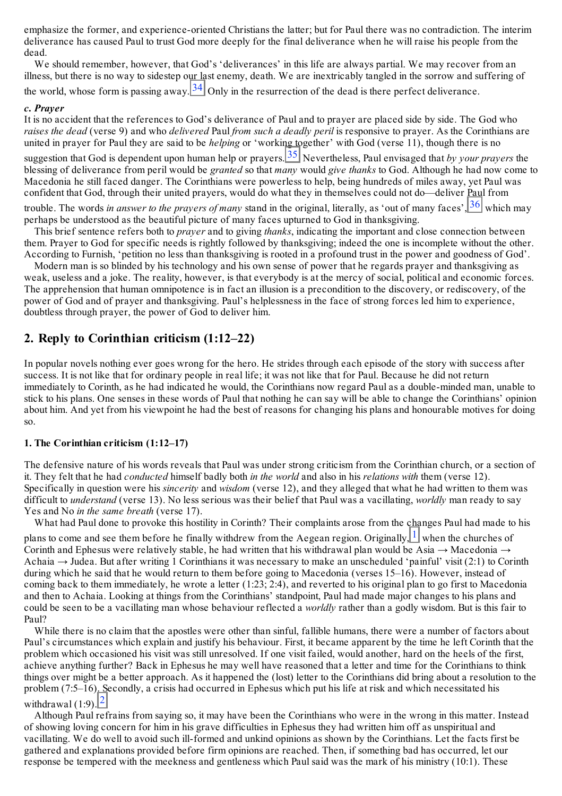emphasize the former, and experience-oriented Christians the latter; but for Paul there was no contradiction. The interim deliverance has caused Paul to trust God more deeply for the final deliverance when he will raise his people from the dead.

We should remember, however, that God's 'deliverances' in this life are always partial. We may recover from an illness, but there is no way to sidestep our last enemy, death. We are inextricably tangled in the sorrow and suffering of

the world, whose form is passing away.  $\frac{34}{9}$  Only in the resurrection of the dead is there perfect deliverance.

#### *c. Prayer*

It is no accident that the references to God's deliverance of Paul and to prayer are placed side by side. The God who *raises the dead* (verse 9) and who *delivered* Paul *from such a deadly peril* is responsive to prayer. As the Corinthians are united in prayer for Paul they are said to be *helping* or 'working together' with God (verse 11), though there is no

suggestion that God is dependent upon human help or prayers.  $35$  Nevertheless, Paul envisaged that *by your prayers* the blessing of deliverance from peril would be *granted* so that *many* would *give thanks* to God. Although he had now come to Macedonia he still faced danger. The Corinthians were powerless to help, being hundreds of miles away, yet Paul was confident that God, through their united prayers, would do what they in themselves could not do—deliver Paul from

trouble. The words *in answer to the prayers of many* stand in the original, literally, as 'out of many faces',  $|36|$  which may perhaps be understood as the beautiful picture of many faces upturned to God in thanksgiving.

This brief sentence refers both to *prayer* and to giving *thanks*, indicating the important and close connection between them. Prayer to God for specific needs is rightly followed by thanksgiving; indeed the one is incomplete without the other. According to Furnish, 'petition no less than thanksgiving is rooted in a profound trust in the power and goodness of God'.

Modern man is so blinded by his technology and his own sense of power that he regards prayer and thanksgiving as weak, useless and a joke. The reality, however, is that everybody is at the mercy of social, political and economic forces. The apprehension that human omnipotence is in fact an illusion is a precondition to the discovery, or rediscovery, of the power of God and of prayer and thanksgiving. Paul's helplessness in the face of strong forces led him to experience, doubtless through prayer, the power of God to deliver him.

#### **2. Reply to Corinthian criticism (1:12–22)**

In popular novels nothing ever goes wrong for the hero. He strides through each episode of the story with success after success. It is not like that for ordinary people in real life; it was not like that for Paul. Because he did not return immediately to Corinth, as he had indicated he would, the Corinthians now regard Paul as a double-minded man, unable to stick to his plans. One senses in these words of Paul that nothing he can say will be able to change the Corinthians' opinion about him. And yet from his viewpoint he had the best of reasons for changing his plans and honourable motives for doing so.

#### **1. The Corinthian criticism (1:12–17)**

The defensive nature of his words reveals that Paul was under strong criticism from the Corinthian church, or a section of it. They felt that he had *conducted* himself badly both *in the world* and also in his *relations with* them (verse 12). Specifically in question were his *sincerity* and *wisdom* (verse 12), and they alleged that what he had written to them was difficult to *understand* (verse 13). No less serious was their belief that Paul was a vacillating, *worldly* man ready to say Yes and No *in the same breath* (verse 17).

What had Paul done to provoke this hostility in Corinth? Their complaints arose from the changes Paul had made to his plans to come and see them before he finally withdrew from the Aegean region. Originally,  $\Box$  when the churches of Corinth and Ephesus were relatively stable, he had written that his withdrawal plan would be Asia  $\rightarrow$  Macedonia  $\rightarrow$ Achaia → Judea. But after writing 1 Corinthians it was necessary to make an unscheduled 'painful' visit (2:1) to Corinth during which he said that he would return to them before going to Macedonia (verses 15–16). However, instead of coming back to them immediately, he wrote a letter (1:23; 2:4), and reverted to his original plan to go first to Macedonia and then to Achaia. Looking at things from the Corinthians' standpoint, Paul had made major changes to his plans and could be seen to be a vacillating man whose behaviour reflected a *worldly* rather than a godly wisdom. But is this fair to Paul?

While there is no claim that the apostles were other than sinful, fallible humans, there were a number of factors about Paul's circumstances which explain and justify his behaviour. First, it became apparent by the time he left Corinth that the problem which occasioned his visit was still unresolved. If one visit failed, would another, hard on the heels of the first, achieve anything further? Back in Ephesus he may well have reasoned that a letter and time for the Corinthians to think things over might be a better approach. As it happened the (lost) letter to the Corinthians did bring about a resolution to the problem (7:5–16). Secondly, a crisis had occurred in Ephesus which put his life at risk and which necessitated his withdrawal  $(1:9)$ .  $\angle$ 

Although Paul refrains from saying so, it may have been the Corinthians who were in the wrong in this matter. Instead of showing loving concern for him in his grave difficulties in Ephesus they had written him off as unspiritual and vacillating. We do well to avoid such ill-formed and unkind opinions as shown by the Corinthians. Let the facts first be gathered and explanations provided before firm opinions are reached. Then, if something bad has occurred, let our response be tempered with the meekness and gentleness which Paul said was the mark of his ministry (10:1). These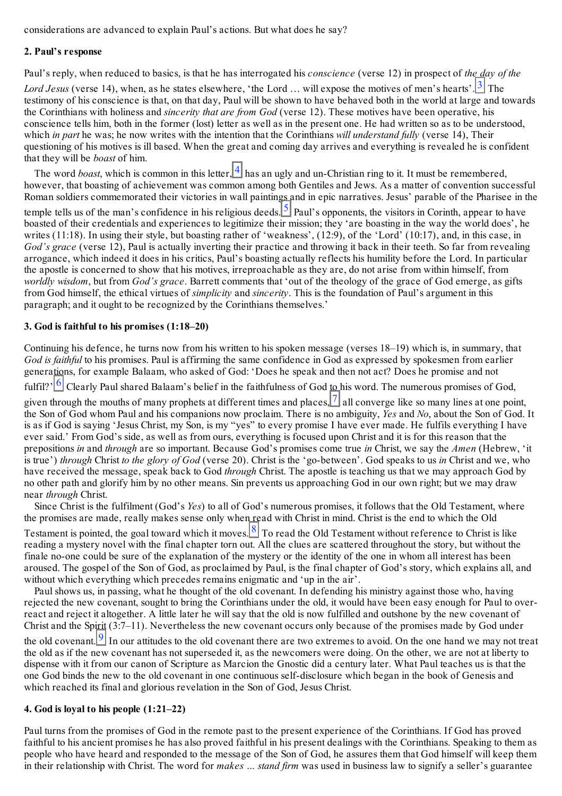considerations are advanced to explain Paul's actions. But what does he say?

#### **2. Paul's response**

Paul's reply, when reduced to basics, is that he has interrogated his *conscience* (verse 12) in prospect of *the day of the*

*Lord Jesus* (verse 14), when, as he states elsewhere, 'the Lord ... will expose the motives of men's hearts'.<sup>[3]</sup> The testimony of his conscience is that, on that day, Paul will be shown to have behaved both in the world at large and towards the Corinthians with holiness and *sincerity that are from God* (verse 12). These motives have been operative, his conscience tells him, both in the former (lost) letter as well as in the present one. He had written so as to be understood, which *in part* he was; he now writes with the intention that the Corinthians *will understand fully* (verse 14), Their questioning of his motives is ill based. When the great and coming day arrives and everything is revealed he is confident that they will be *boast* of him.

The word *boast*, which is common in this letter,  $\begin{bmatrix} 4 \\ 1 \end{bmatrix}$  has an ugly and un-Christian ring to it. It must be remembered, however, that boasting of achievement was common among both Gentiles and Jews. As a matter of convention successful Roman soldiers commemorated their victories in wall paintings and in epic narratives. Jesus' parable of the Pharisee in the

temple tells us of the man's confidence in his religious deeds.  $\frac{5}{2}$  Paul's opponents, the visitors in Corinth, appear to have boasted of their credentials and experiences to legitimize their mission; they 'are boasting in the way the world does', he writes (11:18). In using their style, but boasting rather of 'weakness', (12:9), of the 'Lord' (10:17), and, in this case, in *God's grace* (verse 12), Paul is actually inverting their practice and throwing it back in their teeth. So far from revealing arrogance, which indeed it does in his critics, Paul's boasting actually reflects his humility before the Lord. In particular the apostle is concerned to show that his motives, irreproachable as they are, do not arise from within himself, from *worldly wisdom*, but from *God's grace*. Barrett comments that 'out of the theology of the grace of God emerge, as gifts from God himself, the ethical virtues of *simplicity* and *sincerity*. This is the foundation of Paul's argument in this paragraph; and it ought to be recognized by the Corinthians themselves.'

#### **3. God is faithful to his promises (1:18–20)**

Continuing his defence, he turns now from his written to his spoken message (verses 18–19) which is, in summary, that *God is faithful* to his promises. Paul is affirming the same confidence in God as expressed by spokesmen from earlier generations, for example Balaam, who asked of God: 'Does he speak and then not act? Does he promise and not

fulfil?' $|6|$  Clearly Paul shared Balaam's belief in the faithfulness of God to his word. The numerous promises of God,

given through the mouths of many prophets at different times and places,  $\Box$  all converge like so many lines at one point, the Son of God whom Paul and his companions now proclaim. There is no ambiguity, *Yes* and *No*, about the Son of God. It is as if God is saying 'Jesus Christ, my Son, is my "yes" to every promise I have ever made. He fulfils everything I have ever said.' From God's side, as well as from ours, everything is focused upon Christ and it is for this reason that the prepositions *in* and *through* are so important. Because God's promises come true *in* Christ, we say the *Amen* (Hebrew, 'it is true') *through* Christ *to the glory of God* (verse 20). Christ is the 'go-between'. God speaks to us *in* Christ and we, who have received the message, speak back to God *through* Christ. The apostle is teaching us that we may approach God by no other path and glorify him by no other means. Sin prevents us approaching God in our own right; but we may draw near *through* Christ.

Since Christ is the fulfilment (God's *Yes*) to all of God's numerous promises, it follows that the Old Testament, where the promises are made, really makes sense only when read with Christ in mind. Christ is the end to which the Old Testament is pointed, the goal toward which it moves  $|8|$  To read the Old Testament without reference to Christ is like reading a mystery novel with the final chapter torn out. All the clues are scattered throughout the story, but without the finale no-one could be sure of the explanation of the mystery or the identity of the one in whom all interest has been aroused. The gospel of the Son of God, as proclaimed by Paul, is the final chapter of God's story, which explains all, and without which everything which precedes remains enigmatic and 'up in the air'.

Paul shows us, in passing, what he thought of the old covenant. In defending his ministry against those who, having rejected the new covenant, sought to bring the Corinthians under the old, it would have been easy enough for Paul to overreact and reject it altogether. A little later he will say that the old is now fulfilled and outshone by the new covenant of Christ and the Spirit (3:7–11). Nevertheless the new covenant occurs only because of the promises made by God under the old covenant.<sup>[9]</sup> In our attitudes to the old covenant there are two extremes to avoid. On the one hand we may not treat the old as if the new covenant has not superseded it, as the newcomers were doing. On the other, we are not at liberty to dispense with it from our canon of Scripture as Marcion the Gnostic did a century later. What Paul teaches us is that the one God binds the new to the old covenant in one continuous self-disclosure which began in the book of Genesis and which reached its final and glorious revelation in the Son of God, Jesus Christ.

#### **4. God is loyal to his people (1:21–22)**

Paul turns from the promises of God in the remote past to the present experience of the Corinthians. If God has proved faithful to his ancient promises he has also proved faithful in his present dealings with the Corinthians. Speaking to them as people who have heard and responded to the message of the Son of God, he assures them that God himself will keep them in their relationship with Christ. The word for *makes … stand firm* was used in business law to signify a seller's guarantee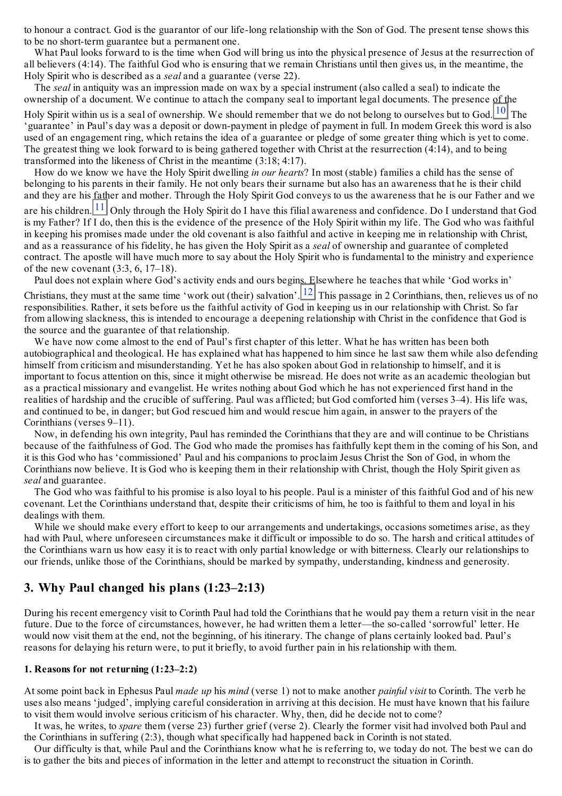to honour a contract. God is the guarantor of our life-long relationship with the Son of God. The present tense shows this to be no short-term guarantee but a permanent one.

What Paul looks forward to is the time when God will bring us into the physical presence of Jesus at the resurrection of all believers (4:14). The faithful God who is ensuring that we remain Christians until then gives us, in the meantime, the Holy Spirit who is described as a *seal* and a guarantee (verse 22).

The *seal* in antiquity was an impression made on wax by a special instrument (also called a seal) to indicate the ownership of a document. We continue to attach the company seal to important legal documents. The presence of the

Holy Spirit within us is a seal of ownership. We should remember that we do not belong to ourselves but to God.  $|10|$  The 'guarantee' in Paul's day was a deposit or down-payment in pledge of payment in full. In modem Greek this word is also used of an engagement ring, which retains the idea of a guarantee or pledge of some greater thing which is yet to come. The greatest thing we look forward to is being gathered together with Christ at the resurrection (4:14), and to being transformed into the likeness of Christ in the meantime (3:18; 4:17).

How do we know we have the Holy Spirit dwelling *in our hearts*? In most (stable) families a child has the sense of belonging to his parents in their family. He not only bears their surname but also has an awareness that he is their child and they are his father and mother. Through the Holy Spirit God conveys to us the awareness that he is our Father and we are his children.  $11$  Only through the Holy Spirit do I have this filial awareness and confidence. Do I understand that God is my Father? If I do, then this is the evidence of the presence of the Holy Spirit within my life. The God who was faithful in keeping his promises made under the old covenant is also faithful and active in keeping me in relationship with Christ, and as a reassurance of his fidelity, he has given the Holy Spirit as a *seal* of ownership and guarantee of completed

contract. The apostle will have much more to say about the Holy Spirit who is fundamental to the ministry and experience of the new covenant (3:3, 6, 17–18).

Paul does not explain where God's activity ends and ours begins. Elsewhere he teaches that while 'God works in' Christians, they must at the same time 'work out (their) salvation'.  $\frac{12}{2}$  This passage in 2 Corinthians, then, relieves us of no responsibilities. Rather, it sets before us the faithful activity of God in keeping us in our relationship with Christ. So far from allowing slackness, this is intended to encourage a deepening relationship with Christ in the confidence that God is the source and the guarantee of that relationship.

We have now come almost to the end of Paul's first chapter of this letter. What he has written has been both autobiographical and theological. He has explained what has happened to him since he last saw them while also defending himself from criticism and misunderstanding. Yet he has also spoken about God in relationship to himself, and it is important to focus attention on this, since it might otherwise be misread. He does not write as an academic theologian but as a practical missionary and evangelist. He writes nothing about God which he has not experienced first hand in the realities of hardship and the crucible of suffering. Paul was afflicted; but God comforted him (verses 3–4). His life was, and continued to be, in danger; but God rescued him and would rescue him again, in answer to the prayers of the Corinthians (verses 9–11).

Now, in defending his own integrity, Paul has reminded the Corinthians that they are and will continue to be Christians because of the faithfulness of God. The God who made the promises has faithfully kept them in the coming of his Son, and it is this God who has 'commissioned' Paul and his companions to proclaim Jesus Christ the Son of God, in whom the Corinthians now believe. It is God who is keeping them in their relationship with Christ, though the Holy Spirit given as *seal* and guarantee.

The God who was faithful to his promise is also loyal to his people. Paul is a minister of this faithful God and of his new covenant. Let the Corinthians understand that, despite their criticisms of him, he too is faithful to them and loyal in his dealings with them.

While we should make every effort to keep to our arrangements and undertakings, occasions sometimes arise, as they had with Paul, where unforeseen circumstances make it difficult or impossible to do so. The harsh and critical attitudes of the Corinthians warn us how easy it is to react with only partial knowledge or with bitterness. Clearly our relationships to our friends, unlike those of the Corinthians, should be marked by sympathy, understanding, kindness and generosity.

#### **3. Why Paul changed his plans (1:23–2:13)**

During his recent emergency visit to Corinth Paul had told the Corinthians that he would pay them a return visit in the near future. Due to the force of circumstances, however, he had written them a letter—the so-called 'sorrowful' letter. He would now visit them at the end, not the beginning, of his itinerary. The change of plans certainly looked bad. Paul's reasons for delaying his return were, to put it briefly, to avoid further pain in his relationship with them.

#### **1. Reasons for not returning (1:23–2:2)**

At some point back in Ephesus Paul *made up* his *mind* (verse 1) not to make another *painful visit* to Corinth. The verb he uses also means 'judged', implying careful consideration in arriving at this decision. He must have known that his failure to visit them would involve serious criticism of his character. Why, then, did he decide not to come?

It was, he writes, to *spare* them (verse 23) further grief (verse 2). Clearly the former visit had involved both Paul and the Corinthians in suffering (2:3), though what specifically had happened back in Corinth is not stated.

Our difficulty is that, while Paul and the Corinthians know what he is referring to, we today do not. The best we can do is to gather the bits and pieces of information in the letter and attempt to reconstruct the situation in Corinth.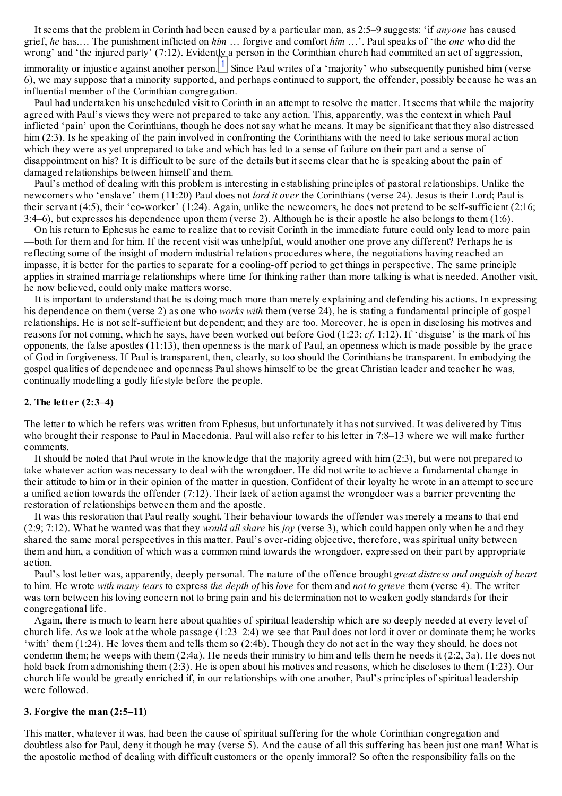It seems that the problem in Corinth had been caused by a particular man, as 2:5–9 suggests: 'if *anyone* has caused grief, *he* has.… The punishment inflicted on *him* … forgive and comfort *him* …'. Paul speaks of 'the *one* who did the wrong' and 'the injured party' (7:12). Evidently a person in the Corinthian church had committed an act of aggression, immorality or injustice against another person.  $\left|\cdot\right|$  Since Paul writes of a 'majority' who subsequently punished him (verse 6), we may suppose that a minority supported, and perhaps continued to support, the offender, possibly because he was an influential member of the Corinthian congregation.

Paul had undertaken his unscheduled visit to Corinth in an attempt to resolve the matter. It seems that while the majority agreed with Paul's views they were not prepared to take any action. This, apparently, was the context in which Paul inflicted 'pain' upon the Corinthians, though he does not say what he means. It may be significant that they also distressed him (2:3). Is he speaking of the pain involved in confronting the Corinthians with the need to take serious moral action which they were as yet unprepared to take and which has led to a sense of failure on their part and a sense of disappointment on his? It is difficult to be sure of the details but it seems clear that he is speaking about the pain of damaged relationships between himself and them.

Paul's method of dealing with this problem is interesting in establishing principles of pastoral relationships. Unlike the newcomers who 'enslave' them (11:20) Paul does not *lord it over* the Corinthians (verse 24). Jesus is their Lord; Paul is their servant (4:5), their 'co-worker' (1:24). Again, unlike the newcomers, he does not pretend to be self-sufficient (2:16; 3:4–6), but expresses his dependence upon them (verse 2). Although he is their apostle he also belongs to them (1:6).

On his return to Ephesus he came to realize that to revisit Corinth in the immediate future could only lead to more pain —both for them and for him. If the recent visit was unhelpful, would another one prove any different? Perhaps he is reflecting some of the insight of modern industrial relations procedures where, the negotiations having reached an impasse, it is better for the parties to separate for a cooling-off period to get things in perspective. The same principle applies in strained marriage relationships where time for thinking rather than more talking is what is needed. Another visit, he now believed, could only make matters worse.

It is important to understand that he is doing much more than merely explaining and defending his actions. In expressing his dependence on them (verse 2) as one who *works with* them (verse 24), he is stating a fundamental principle of gospel relationships. He is not self-sufficient but dependent; and they are too. Moreover, he is open in disclosing his motives and reasons for not coming, which he says, have been worked out before God (1:23; *cf*. 1:12). If 'disguise' is the mark of his opponents, the false apostles (11:13), then openness is the mark of Paul, an openness which is made possible by the grace of God in forgiveness. If Paul is transparent, then, clearly, so too should the Corinthians be transparent. In embodying the gospel qualities of dependence and openness Paul shows himself to be the great Christian leader and teacher he was, continually modelling a godly lifestyle before the people.

#### **2. The letter (2:3–4)**

The letter to which he refers was written from Ephesus, but unfortunately it has not survived. It was delivered by Titus who brought their response to Paul in Macedonia. Paul will also refer to his letter in 7:8–13 where we will make further comments.

It should be noted that Paul wrote in the knowledge that the majority agreed with him (2:3), but were not prepared to take whatever action was necessary to deal with the wrongdoer. He did not write to achieve a fundamental change in their attitude to him or in their opinion of the matter in question. Confident of their loyalty he wrote in an attempt to secure a unified action towards the offender (7:12). Their lack of action against the wrongdoer was a barrier preventing the restoration of relationships between them and the apostle.

It was this restoration that Paul really sought. Their behaviour towards the offender was merely a means to that end (2:9; 7:12). What he wanted was that they *would all share* his *joy* (verse 3), which could happen only when he and they shared the same moral perspectives in this matter. Paul's over-riding objective, therefore, was spiritual unity between them and him, a condition of which was a common mind towards the wrongdoer, expressed on their part by appropriate action.

Paul's lost letter was, apparently, deeply personal. The nature of the offence brought *great distress and anguish of heart* to him. He wrote *with many tears* to express *the depth of* his *love* for them and *not to grieve* them (verse 4). The writer was torn between his loving concern not to bring pain and his determination not to weaken godly standards for their congregational life.

Again, there is much to learn here about qualities of spiritual leadership which are so deeply needed at every level of church life. As we look at the whole passage  $(1:23-2:4)$  we see that Paul does not lord it over or dominate them; he works 'with' them (1:24). He loves them and tells them so (2:4b). Though they do not act in the way they should, he does not condemn them; he weeps with them (2:4a). He needs their ministry to him and tells them he needs it (2:2, 3a). He does not hold back from admonishing them (2:3). He is open about his motives and reasons, which he discloses to them (1:23). Our church life would be greatly enriched if, in our relationships with one another, Paul's principles of spiritual leadership were followed.

#### **3. Forgive the man (2:5–11)**

This matter, whatever it was, had been the cause of spiritual suffering for the whole Corinthian congregation and doubtless also for Paul, deny it though he may (verse 5). And the cause of all this suffering has been just one man! What is the apostolic method of dealing with difficult customers or the openly immoral? So often the responsibility falls on the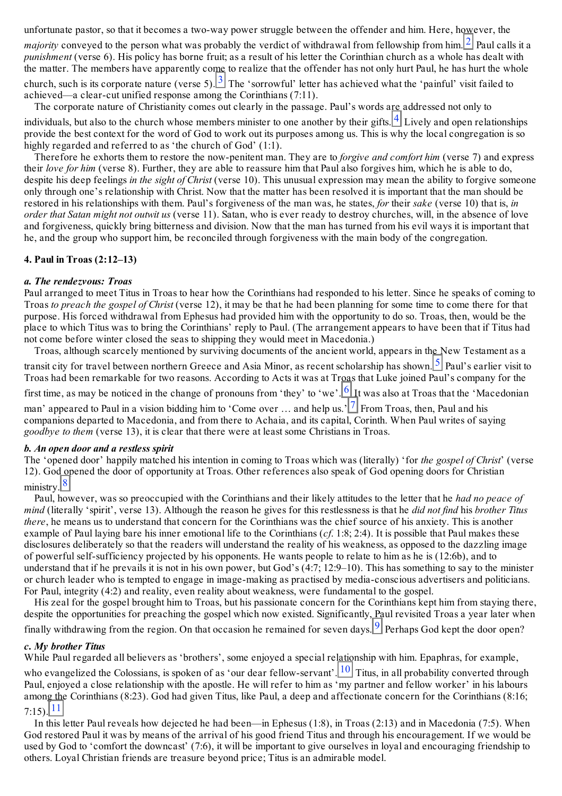unfortunate pastor, so that it becomes a two-way power struggle between the offender and him. Here, however, the *majority* conveyed to the person what was probably the verdict of withdrawal from fellowship from him.  $\frac{2}{5}$  Paul calls it a *punishment* (verse 6). His policy has borne fruit; as a result of his letter the Corinthian church as a whole has dealt with the matter. The members have apparently come to realize that the offender has not only hurt Paul, he has hurt the whole church, such is its corporate nature (verse 5).  $\boxed{3}$  The 'sorrowful' letter has achieved what the 'painful' visit failed to achieved—a clear-cut unified response among the Corinthians (7:11).

The corporate nature of Christianity comes out clearly in the passage. Paul's words are addressed not only to individuals, but also to the church whose members minister to one another by their gifts  $\frac{4}{1}$  Lively and open relationships provide the best context for the word of God to work out its purposes among us. This is why the local congregation is so highly regarded and referred to as 'the church of God'  $(1:1)$ .

Therefore he exhorts them to restore the now-penitent man. They are to *forgive and comfort him* (verse 7) and express their *love for him* (verse 8). Further, they are able to reassure him that Paul also forgives him, which he is able to do, despite his deep feelings *in the sight of Christ* (verse 10). This unusual expression may mean the ability to forgive someone only through one's relationship with Christ. Now that the matter has been resolved it is important that the man should be restored in his relationships with them. Paul's forgiveness of the man was, he states, *for* their *sake* (verse 10) that is, *in order that Satan might not outwit us* (verse 11). Satan, who is ever ready to destroy churches, will, in the absence of love and forgiveness, quickly bring bitterness and division. Now that the man has turned from his evil ways it is important that he, and the group who support him, be reconciled through forgiveness with the main body of the congregation.

#### **4. Paul in Troas (2:12–13)**

#### *a. The rendezvous: Troas*

Paul arranged to meet Titus in Troas to hear how the Corinthians had responded to his letter. Since he speaks of coming to Troas *to preach the gospel of Christ* (verse 12), it may be that he had been planning for some time to come there for that purpose. His forced withdrawal from Ephesus had provided him with the opportunity to do so. Troas, then, would be the place to which Titus was to bring the Corinthians' reply to Paul. (The arrangement appears to have been that if Titus had not come before winter closed the seas to shipping they would meet in Macedonia.)

Troas, although scarcely mentioned by surviving documents of the ancient world, appears in the New Testament as a

transit city for travel between northern Greece and Asia Minor, as recent scholarship has shown.<sup>[5]</sup> Paul's earlier visit to Troas had been remarkable for two reasons. According to Acts it was at Troas that Luke joined Paul's company for the

first time, as may be noticed in the change of pronouns from 'they' to 'we'. **6** It was also at Troas that the 'Macedonian'

man' appeared to Paul in a vision bidding him to 'Come over  $\ldots$  and help us.'  $|7|$  From Troas, then, Paul and his companions departed to Macedonia, and from there to Achaia, and its capital, Corinth. When Paul writes of saying *goodbye to them* (verse 13), it is clear that there were at least some Christians in Troas.

#### *b. An open door and a restless spirit*

The 'opened door' happily matched his intention in coming to Troas which was (literally) 'for *the gospel of Christ*' (verse 12). God opened the door of opportunity at Troas. Other references also speak of God opening doors for Christian ministry.<sup>8</sup>

Paul, however, was so preoccupied with the Corinthians and their likely attitudes to the letter that he *had no peace of mind* (literally 'spirit', verse 13). Although the reason he gives for this restlessness is that he *did not find* his *brother Titus there*, he means us to understand that concern for the Corinthians was the chief source of his anxiety. This is another example of Paul laying bare his inner emotional life to the Corinthians (*cf*. 1:8; 2:4). It is possible that Paul makes these disclosures deliberately so that the readers will understand the reality of his weakness, as opposed to the dazzling image of powerful self-sufficiency projected by his opponents. He wants people to relate to him as he is (12:6b), and to understand that if he prevails it is not in his own power, but God's  $(4.7, 12.9-10)$ . This has something to say to the minister or church leader who is tempted to engage in image-making as practised by media-conscious advertisers and politicians. For Paul, integrity (4:2) and reality, even reality about weakness, were fundamental to the gospel.

His zeal for the gospel brought him to Troas, but his passionate concern for the Corinthians kept him from staying there, despite the opportunities for preaching the gospel which now existed. Significantly, Paul revisited Troas a year later when finally withdrawing from the region. On that occasion he remained for seven days.  $\mathbb{P}$  Perhaps God kept the door open?

#### *c. My brother Titus*

While Paul regarded all believers as 'brothers', some enjoyed a special relationship with him. Epaphras, for example,

who evangelized the Colossians, is spoken of as 'our dear fellow-servant'.  $\frac{10}{10}$  Titus, in all probability converted through Paul, enjoyed a close relationship with the apostle. He will refer to him as 'my partner and fellow worker' in his labours among the Corinthians (8:23). God had given Titus, like Paul, a deep and affectionate concern for the Corinthians (8:16;  $7:15)$ <sup>[11]</sup>

In this letter Paul reveals how dejected he had been—in Ephesus (1:8), in Troas (2:13) and in Macedonia (7:5). When God restored Paul it was by means of the arrival of his good friend Titus and through his encouragement. If we would be used by God to 'comfort the downcast' (7:6), it will be important to give ourselves in loyal and encouraging friendship to others. Loyal Christian friends are treasure beyond price; Titus is an admirable model.